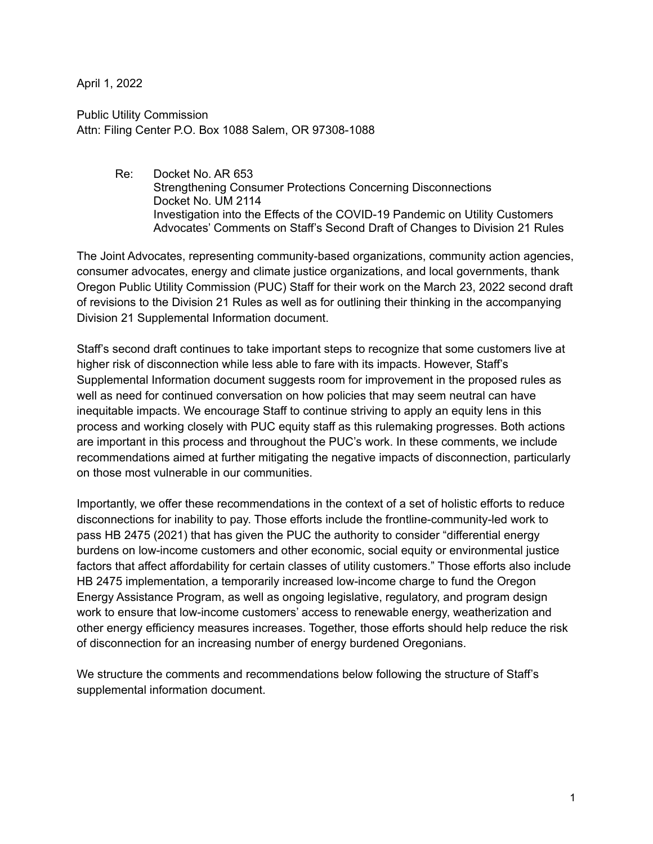April 1, 2022

Public Utility Commission Attn: Filing Center P.O. Box 1088 Salem, OR 97308-1088

> Re: Docket No. AR 653 Strengthening Consumer Protections Concerning Disconnections Docket No. UM 2114 Investigation into the Effects of the COVID-19 Pandemic on Utility Customers Advocates' Comments on Staff's Second Draft of Changes to Division 21 Rules

The Joint Advocates, representing community-based organizations, community action agencies, consumer advocates, energy and climate justice organizations, and local governments, thank Oregon Public Utility Commission (PUC) Staff for their work on the March 23, 2022 second draft of revisions to the Division 21 Rules as well as for outlining their thinking in the accompanying Division 21 Supplemental Information document.

Staff's second draft continues to take important steps to recognize that some customers live at higher risk of disconnection while less able to fare with its impacts. However, Staff's Supplemental Information document suggests room for improvement in the proposed rules as well as need for continued conversation on how policies that may seem neutral can have inequitable impacts. We encourage Staff to continue striving to apply an equity lens in this process and working closely with PUC equity staff as this rulemaking progresses. Both actions are important in this process and throughout the PUC's work. In these comments, we include recommendations aimed at further mitigating the negative impacts of disconnection, particularly on those most vulnerable in our communities.

Importantly, we offer these recommendations in the context of a set of holistic efforts to reduce disconnections for inability to pay. Those efforts include the frontline-community-led work to pass HB 2475 (2021) that has given the PUC the authority to consider "differential energy burdens on low-income customers and other economic, social equity or environmental justice factors that affect affordability for certain classes of utility customers." Those efforts also include HB 2475 implementation, a temporarily increased low-income charge to fund the Oregon Energy Assistance Program, as well as ongoing legislative, regulatory, and program design work to ensure that low-income customers' access to renewable energy, weatherization and other energy efficiency measures increases. Together, those efforts should help reduce the risk of disconnection for an increasing number of energy burdened Oregonians.

We structure the comments and recommendations below following the structure of Staff's supplemental information document.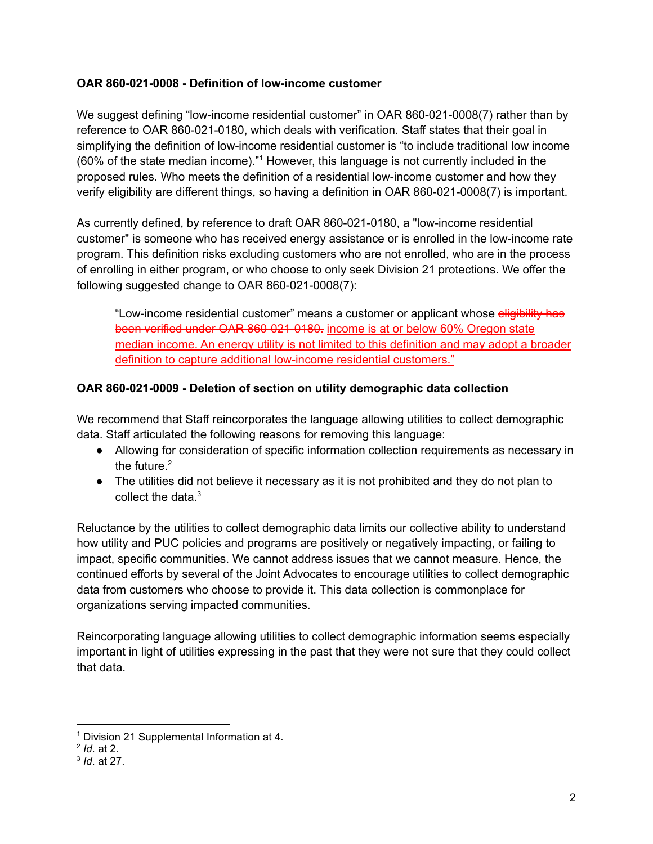#### **OAR 860-021-0008 - Definition of low-income customer**

We suggest defining "low-income residential customer" in OAR 860-021-0008(7) rather than by reference to OAR 860-021-0180, which deals with verification. Staff states that their goal in simplifying the definition of low-income residential customer is "to include traditional low income (60% of the state median income)." <sup>1</sup> However, this language is not currently included in the proposed rules. Who meets the definition of a residential low-income customer and how they verify eligibility are different things, so having a definition in OAR 860-021-0008(7) is important.

As currently defined, by reference to draft OAR 860-021-0180, a "low-income residential customer" is someone who has received energy assistance or is enrolled in the low-income rate program. This definition risks excluding customers who are not enrolled, who are in the process of enrolling in either program, or who choose to only seek Division 21 protections. We offer the following suggested change to OAR 860-021-0008(7):

"Low-income residential customer" means a customer or applicant whose eligibility has been verified under OAR 860-021-0180. income is at or below 60% Oregon state median income. An energy utility is not limited to this definition and may adopt a broader definition to capture additional low-income residential customers."

#### **OAR 860-021-0009 - Deletion of section on utility demographic data collection**

We recommend that Staff reincorporates the language allowing utilities to collect demographic data. Staff articulated the following reasons for removing this language:

- Allowing for consideration of specific information collection requirements as necessary in the future. 2
- The utilities did not believe it necessary as it is not prohibited and they do not plan to collect the data. 3

Reluctance by the utilities to collect demographic data limits our collective ability to understand how utility and PUC policies and programs are positively or negatively impacting, or failing to impact, specific communities. We cannot address issues that we cannot measure. Hence, the continued efforts by several of the Joint Advocates to encourage utilities to collect demographic data from customers who choose to provide it. This data collection is commonplace for organizations serving impacted communities.

Reincorporating language allowing utilities to collect demographic information seems especially important in light of utilities expressing in the past that they were not sure that they could collect that data.

<sup>1</sup> Division 21 Supplemental Information at 4.

<sup>2</sup> *Id*. at 2.

<sup>3</sup> *Id*. at 27.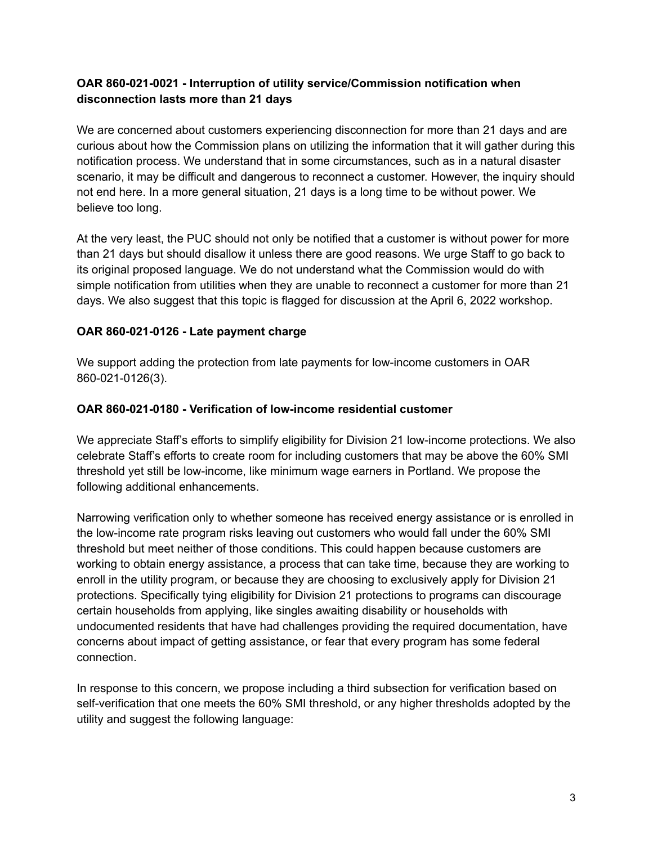### **OAR 860-021-0021 - Interruption of utility service/Commission notification when disconnection lasts more than 21 days**

We are concerned about customers experiencing disconnection for more than 21 days and are curious about how the Commission plans on utilizing the information that it will gather during this notification process. We understand that in some circumstances, such as in a natural disaster scenario, it may be difficult and dangerous to reconnect a customer. However, the inquiry should not end here. In a more general situation, 21 days is a long time to be without power. We believe too long.

At the very least, the PUC should not only be notified that a customer is without power for more than 21 days but should disallow it unless there are good reasons. We urge Staff to go back to its original proposed language. We do not understand what the Commission would do with simple notification from utilities when they are unable to reconnect a customer for more than 21 days. We also suggest that this topic is flagged for discussion at the April 6, 2022 workshop.

## **OAR 860-021-0126 - Late payment charge**

We support adding the protection from late payments for low-income customers in OAR 860-021-0126(3).

### **OAR 860-021-0180 - Verification of low-income residential customer**

We appreciate Staff's efforts to simplify eligibility for Division 21 low-income protections. We also celebrate Staff's efforts to create room for including customers that may be above the 60% SMI threshold yet still be low-income, like minimum wage earners in Portland. We propose the following additional enhancements.

Narrowing verification only to whether someone has received energy assistance or is enrolled in the low-income rate program risks leaving out customers who would fall under the 60% SMI threshold but meet neither of those conditions. This could happen because customers are working to obtain energy assistance, a process that can take time, because they are working to enroll in the utility program, or because they are choosing to exclusively apply for Division 21 protections. Specifically tying eligibility for Division 21 protections to programs can discourage certain households from applying, like singles awaiting disability or households with undocumented residents that have had challenges providing the required documentation, have concerns about impact of getting assistance, or fear that every program has some federal connection.

In response to this concern, we propose including a third subsection for verification based on self-verification that one meets the 60% SMI threshold, or any higher thresholds adopted by the utility and suggest the following language: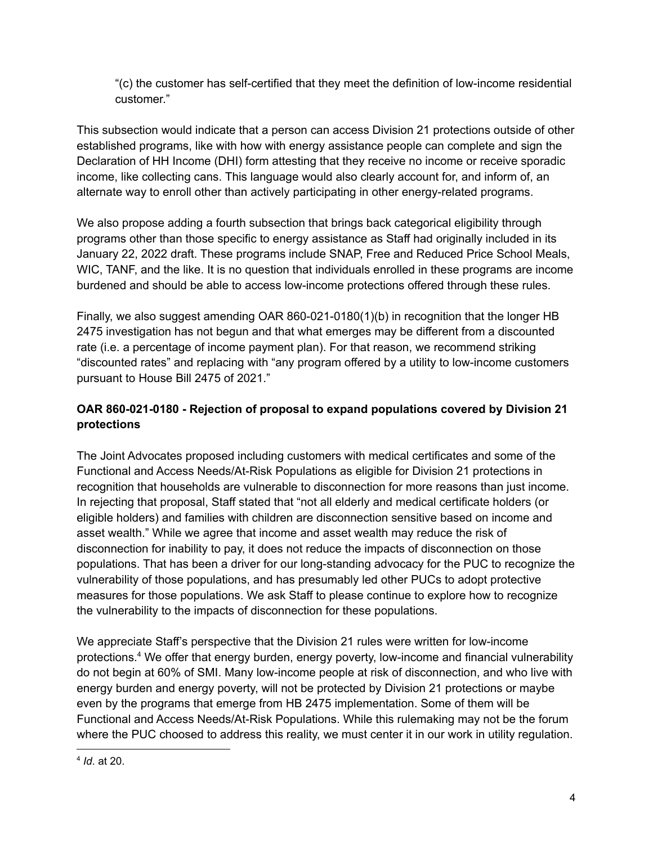"(c) the customer has self-certified that they meet the definition of low-income residential customer."

This subsection would indicate that a person can access Division 21 protections outside of other established programs, like with how with energy assistance people can complete and sign the Declaration of HH Income (DHI) form attesting that they receive no income or receive sporadic income, like collecting cans. This language would also clearly account for, and inform of, an alternate way to enroll other than actively participating in other energy-related programs.

We also propose adding a fourth subsection that brings back categorical eligibility through programs other than those specific to energy assistance as Staff had originally included in its January 22, 2022 draft. These programs include SNAP, Free and Reduced Price School Meals, WIC, TANF, and the like. It is no question that individuals enrolled in these programs are income burdened and should be able to access low-income protections offered through these rules.

Finally, we also suggest amending OAR 860-021-0180(1)(b) in recognition that the longer HB 2475 investigation has not begun and that what emerges may be different from a discounted rate (i.e. a percentage of income payment plan). For that reason, we recommend striking "discounted rates" and replacing with "any program offered by a utility to low-income customers pursuant to House Bill 2475 of 2021."

# **OAR 860-021-0180 - Rejection of proposal to expand populations covered by Division 21 protections**

The Joint Advocates proposed including customers with medical certificates and some of the Functional and Access Needs/At-Risk Populations as eligible for Division 21 protections in recognition that households are vulnerable to disconnection for more reasons than just income. In rejecting that proposal, Staff stated that "not all elderly and medical certificate holders (or eligible holders) and families with children are disconnection sensitive based on income and asset wealth." While we agree that income and asset wealth may reduce the risk of disconnection for inability to pay, it does not reduce the impacts of disconnection on those populations. That has been a driver for our long-standing advocacy for the PUC to recognize the vulnerability of those populations, and has presumably led other PUCs to adopt protective measures for those populations. We ask Staff to please continue to explore how to recognize the vulnerability to the impacts of disconnection for these populations.

We appreciate Staff's perspective that the Division 21 rules were written for low-income protections. <sup>4</sup> We offer that energy burden, energy poverty, low-income and financial vulnerability do not begin at 60% of SMI. Many low-income people at risk of disconnection, and who live with energy burden and energy poverty, will not be protected by Division 21 protections or maybe even by the programs that emerge from HB 2475 implementation. Some of them will be Functional and Access Needs/At-Risk Populations. While this rulemaking may not be the forum where the PUC choosed to address this reality, we must center it in our work in utility regulation.

<sup>4</sup> *Id*. at 20.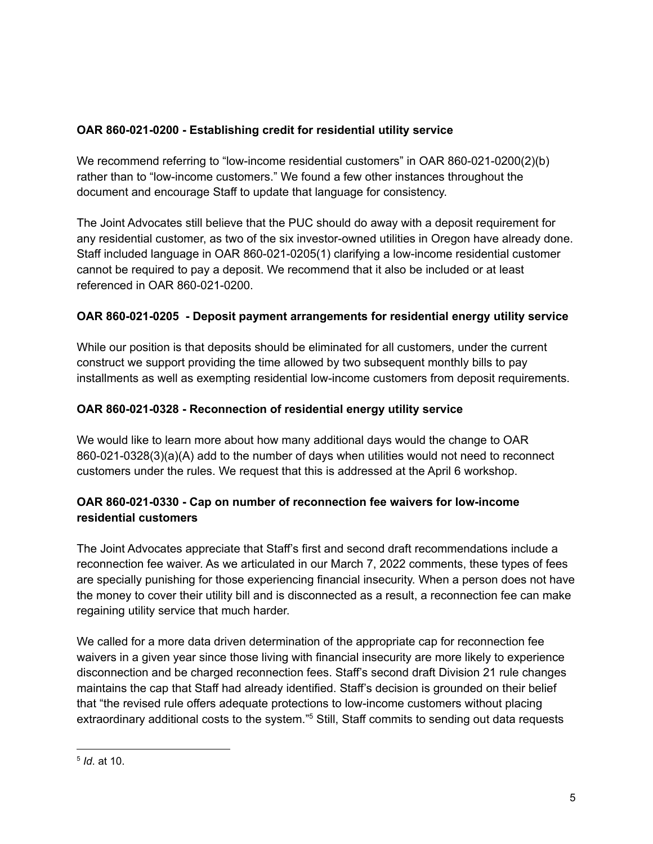## **OAR 860-021-0200 - Establishing credit for residential utility service**

We recommend referring to "low-income residential customers" in OAR 860-021-0200(2)(b) rather than to "low-income customers." We found a few other instances throughout the document and encourage Staff to update that language for consistency.

The Joint Advocates still believe that the PUC should do away with a deposit requirement for any residential customer, as two of the six investor-owned utilities in Oregon have already done. Staff included language in OAR 860-021-0205(1) clarifying a low-income residential customer cannot be required to pay a deposit. We recommend that it also be included or at least referenced in OAR 860-021-0200.

## **OAR 860-021-0205 - Deposit payment arrangements for residential energy utility service**

While our position is that deposits should be eliminated for all customers, under the current construct we support providing the time allowed by two subsequent monthly bills to pay installments as well as exempting residential low-income customers from deposit requirements.

## **OAR 860-021-0328 - Reconnection of residential energy utility service**

We would like to learn more about how many additional days would the change to OAR 860-021-0328(3)(a)(A) add to the number of days when utilities would not need to reconnect customers under the rules. We request that this is addressed at the April 6 workshop.

## **OAR 860-021-0330 - Cap on number of reconnection fee waivers for low-income residential customers**

The Joint Advocates appreciate that Staff's first and second draft recommendations include a reconnection fee waiver. As we articulated in our March 7, 2022 comments, these types of fees are specially punishing for those experiencing financial insecurity. When a person does not have the money to cover their utility bill and is disconnected as a result, a reconnection fee can make regaining utility service that much harder.

We called for a more data driven determination of the appropriate cap for reconnection fee waivers in a given year since those living with financial insecurity are more likely to experience disconnection and be charged reconnection fees. Staff's second draft Division 21 rule changes maintains the cap that Staff had already identified. Staff's decision is grounded on their belief that "the revised rule offers adequate protections to low-income customers without placing extraordinary additional costs to the system."<sup>5</sup> Still, Staff commits to sending out data requests

<sup>5</sup> *Id*. at 10.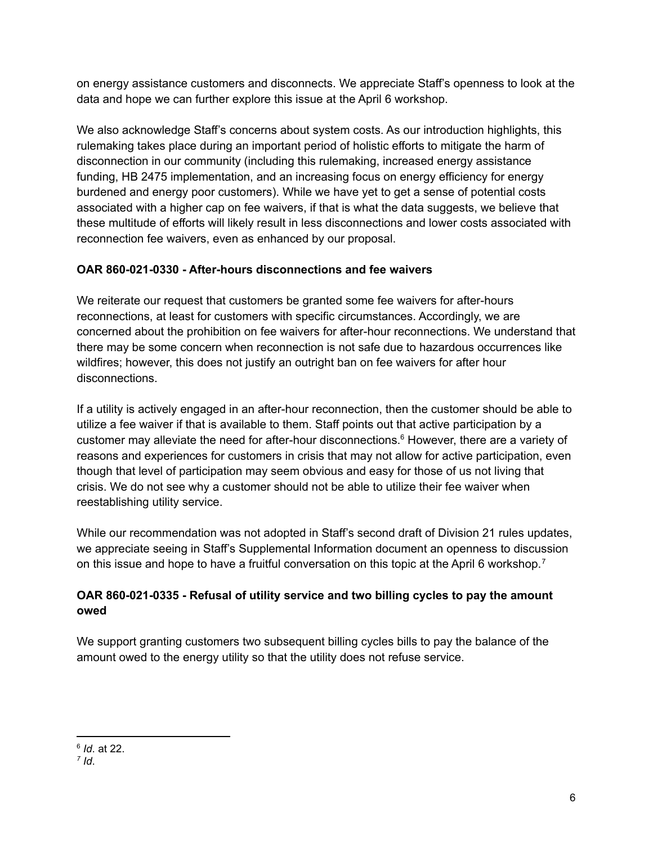on energy assistance customers and disconnects. We appreciate Staff's openness to look at the data and hope we can further explore this issue at the April 6 workshop.

We also acknowledge Staff's concerns about system costs. As our introduction highlights, this rulemaking takes place during an important period of holistic efforts to mitigate the harm of disconnection in our community (including this rulemaking, increased energy assistance funding, HB 2475 implementation, and an increasing focus on energy efficiency for energy burdened and energy poor customers). While we have yet to get a sense of potential costs associated with a higher cap on fee waivers, if that is what the data suggests, we believe that these multitude of efforts will likely result in less disconnections and lower costs associated with reconnection fee waivers, even as enhanced by our proposal.

# **OAR 860-021-0330 - After-hours disconnections and fee waivers**

We reiterate our request that customers be granted some fee waivers for after-hours reconnections, at least for customers with specific circumstances. Accordingly, we are concerned about the prohibition on fee waivers for after-hour reconnections. We understand that there may be some concern when reconnection is not safe due to hazardous occurrences like wildfires; however, this does not justify an outright ban on fee waivers for after hour disconnections.

If a utility is actively engaged in an after-hour reconnection, then the customer should be able to utilize a fee waiver if that is available to them. Staff points out that active participation by a customer may alleviate the need for after-hour disconnections. <sup>6</sup> However, there are a variety of reasons and experiences for customers in crisis that may not allow for active participation, even though that level of participation may seem obvious and easy for those of us not living that crisis. We do not see why a customer should not be able to utilize their fee waiver when reestablishing utility service.

While our recommendation was not adopted in Staff's second draft of Division 21 rules updates, we appreciate seeing in Staff's Supplemental Information document an openness to discussion on this issue and hope to have a fruitful conversation on this topic at the April 6 workshop.<sup>7</sup>

## **OAR 860-021-0335 - Refusal of utility service and two billing cycles to pay the amount owed**

We support granting customers two subsequent billing cycles bills to pay the balance of the amount owed to the energy utility so that the utility does not refuse service.

<sup>6</sup> *Id*. at 22.

*<sup>7</sup> Id*.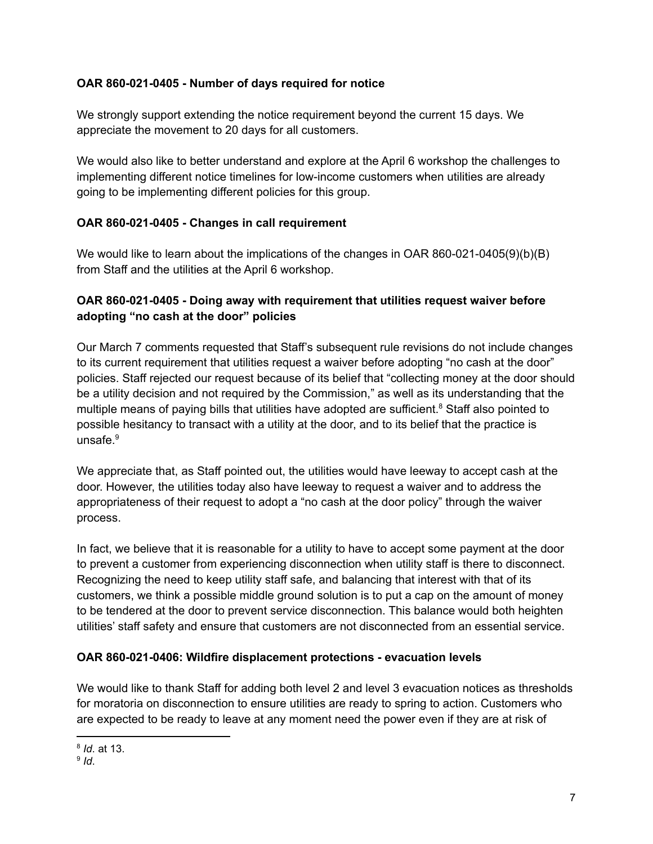#### **OAR 860-021-0405 - Number of days required for notice**

We strongly support extending the notice requirement beyond the current 15 days. We appreciate the movement to 20 days for all customers.

We would also like to better understand and explore at the April 6 workshop the challenges to implementing different notice timelines for low-income customers when utilities are already going to be implementing different policies for this group.

### **OAR 860-021-0405 - Changes in call requirement**

We would like to learn about the implications of the changes in OAR 860-021-0405(9)(b)(B) from Staff and the utilities at the April 6 workshop.

### **OAR 860-021-0405 - Doing away with requirement that utilities request waiver before adopting "no cash at the door" policies**

Our March 7 comments requested that Staff's subsequent rule revisions do not include changes to its current requirement that utilities request a waiver before adopting "no cash at the door" policies. Staff rejected our request because of its belief that "collecting money at the door should be a utility decision and not required by the Commission," as well as its understanding that the multiple means of paying bills that utilities have adopted are sufficient. <sup>8</sup> Staff also pointed to possible hesitancy to transact with a utility at the door, and to its belief that the practice is unsafe. 9

We appreciate that, as Staff pointed out, the utilities would have leeway to accept cash at the door. However, the utilities today also have leeway to request a waiver and to address the appropriateness of their request to adopt a "no cash at the door policy" through the waiver process.

In fact, we believe that it is reasonable for a utility to have to accept some payment at the door to prevent a customer from experiencing disconnection when utility staff is there to disconnect. Recognizing the need to keep utility staff safe, and balancing that interest with that of its customers, we think a possible middle ground solution is to put a cap on the amount of money to be tendered at the door to prevent service disconnection. This balance would both heighten utilities' staff safety and ensure that customers are not disconnected from an essential service.

#### **OAR 860-021-0406: Wildfire displacement protections - evacuation levels**

We would like to thank Staff for adding both level 2 and level 3 evacuation notices as thresholds for moratoria on disconnection to ensure utilities are ready to spring to action. Customers who are expected to be ready to leave at any moment need the power even if they are at risk of

<sup>8</sup> *Id*. at 13.

<sup>9</sup> *Id*.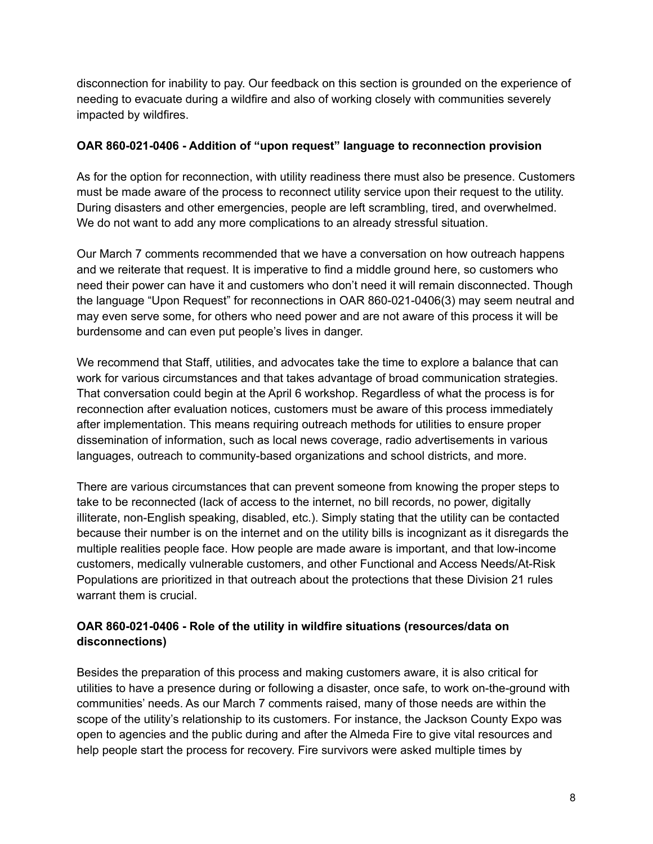disconnection for inability to pay. Our feedback on this section is grounded on the experience of needing to evacuate during a wildfire and also of working closely with communities severely impacted by wildfires.

#### **OAR 860-021-0406 - Addition of "upon request" language to reconnection provision**

As for the option for reconnection, with utility readiness there must also be presence. Customers must be made aware of the process to reconnect utility service upon their request to the utility. During disasters and other emergencies, people are left scrambling, tired, and overwhelmed. We do not want to add any more complications to an already stressful situation.

Our March 7 comments recommended that we have a conversation on how outreach happens and we reiterate that request. It is imperative to find a middle ground here, so customers who need their power can have it and customers who don't need it will remain disconnected. Though the language "Upon Request" for reconnections in OAR 860-021-0406(3) may seem neutral and may even serve some, for others who need power and are not aware of this process it will be burdensome and can even put people's lives in danger.

We recommend that Staff, utilities, and advocates take the time to explore a balance that can work for various circumstances and that takes advantage of broad communication strategies. That conversation could begin at the April 6 workshop. Regardless of what the process is for reconnection after evaluation notices, customers must be aware of this process immediately after implementation. This means requiring outreach methods for utilities to ensure proper dissemination of information, such as local news coverage, radio advertisements in various languages, outreach to community-based organizations and school districts, and more.

There are various circumstances that can prevent someone from knowing the proper steps to take to be reconnected (lack of access to the internet, no bill records, no power, digitally illiterate, non-English speaking, disabled, etc.). Simply stating that the utility can be contacted because their number is on the internet and on the utility bills is incognizant as it disregards the multiple realities people face. How people are made aware is important, and that low-income customers, medically vulnerable customers, and other Functional and Access Needs/At-Risk Populations are prioritized in that outreach about the protections that these Division 21 rules warrant them is crucial.

## **OAR 860-021-0406 - Role of the utility in wildfire situations (resources/data on disconnections)**

Besides the preparation of this process and making customers aware, it is also critical for utilities to have a presence during or following a disaster, once safe, to work on-the-ground with communities' needs. As our March 7 comments raised, many of those needs are within the scope of the utility's relationship to its customers. For instance, the Jackson County Expo was open to agencies and the public during and after the Almeda Fire to give vital resources and help people start the process for recovery. Fire survivors were asked multiple times by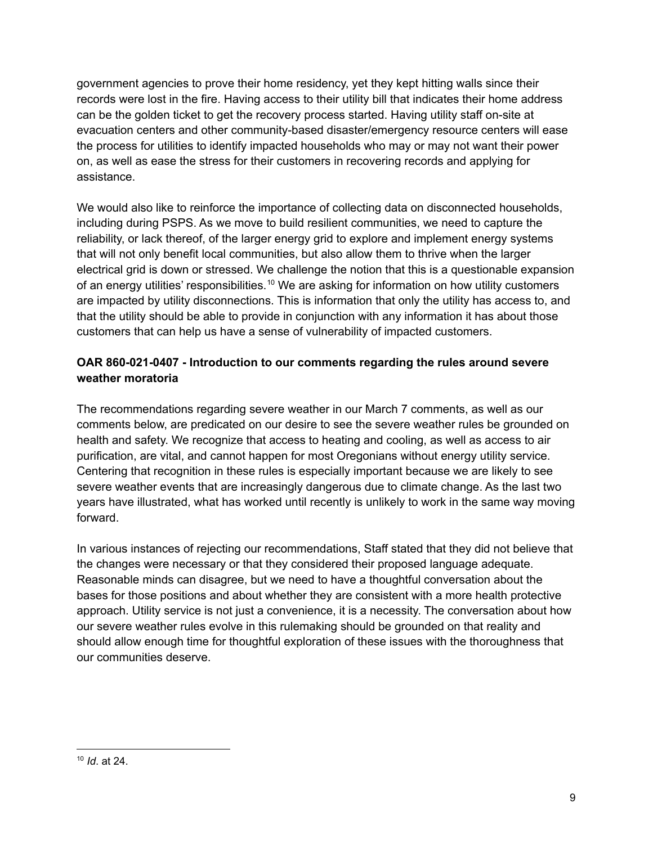government agencies to prove their home residency, yet they kept hitting walls since their records were lost in the fire. Having access to their utility bill that indicates their home address can be the golden ticket to get the recovery process started. Having utility staff on-site at evacuation centers and other community-based disaster/emergency resource centers will ease the process for utilities to identify impacted households who may or may not want their power on, as well as ease the stress for their customers in recovering records and applying for assistance.

We would also like to reinforce the importance of collecting data on disconnected households, including during PSPS. As we move to build resilient communities, we need to capture the reliability, or lack thereof, of the larger energy grid to explore and implement energy systems that will not only benefit local communities, but also allow them to thrive when the larger electrical grid is down or stressed. We challenge the notion that this is a questionable expansion of an energy utilities' responsibilities.<sup>10</sup> We are asking for information on how utility customers are impacted by utility disconnections. This is information that only the utility has access to, and that the utility should be able to provide in conjunction with any information it has about those customers that can help us have a sense of vulnerability of impacted customers.

## **OAR 860-021-0407 - Introduction to our comments regarding the rules around severe weather moratoria**

The recommendations regarding severe weather in our March 7 comments, as well as our comments below, are predicated on our desire to see the severe weather rules be grounded on health and safety. We recognize that access to heating and cooling, as well as access to air purification, are vital, and cannot happen for most Oregonians without energy utility service. Centering that recognition in these rules is especially important because we are likely to see severe weather events that are increasingly dangerous due to climate change. As the last two years have illustrated, what has worked until recently is unlikely to work in the same way moving forward.

In various instances of rejecting our recommendations, Staff stated that they did not believe that the changes were necessary or that they considered their proposed language adequate. Reasonable minds can disagree, but we need to have a thoughtful conversation about the bases for those positions and about whether they are consistent with a more health protective approach. Utility service is not just a convenience, it is a necessity. The conversation about how our severe weather rules evolve in this rulemaking should be grounded on that reality and should allow enough time for thoughtful exploration of these issues with the thoroughness that our communities deserve.

<sup>10</sup> *Id*. at 24.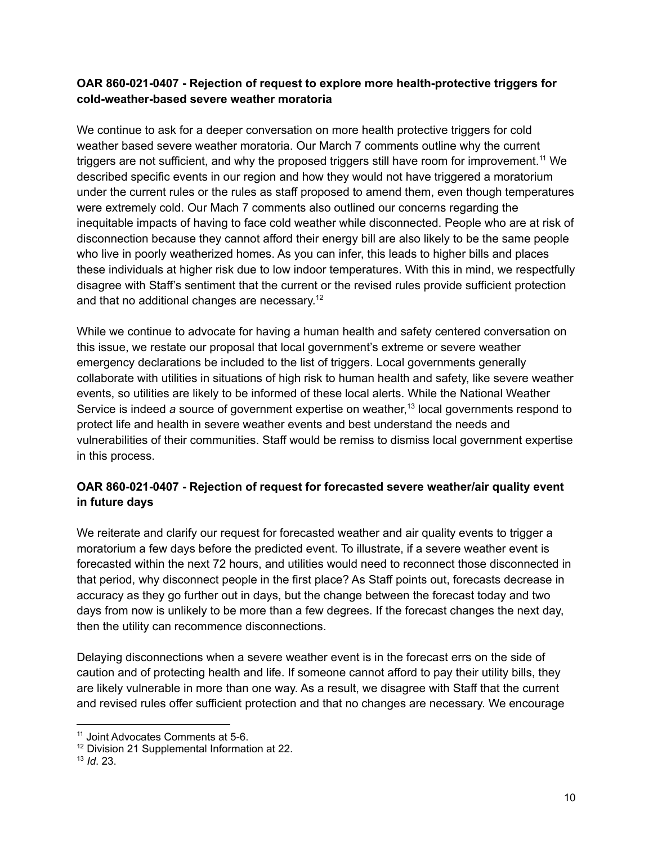#### **OAR 860-021-0407 - Rejection of request to explore more health-protective triggers for cold-weather-based severe weather moratoria**

We continue to ask for a deeper conversation on more health protective triggers for cold weather based severe weather moratoria. Our March 7 comments outline why the current triggers are not sufficient, and why the proposed triggers still have room for improvement.<sup>11</sup> We described specific events in our region and how they would not have triggered a moratorium under the current rules or the rules as staff proposed to amend them, even though temperatures were extremely cold. Our Mach 7 comments also outlined our concerns regarding the inequitable impacts of having to face cold weather while disconnected. People who are at risk of disconnection because they cannot afford their energy bill are also likely to be the same people who live in poorly weatherized homes. As you can infer, this leads to higher bills and places these individuals at higher risk due to low indoor temperatures. With this in mind, we respectfully disagree with Staff's sentiment that the current or the revised rules provide sufficient protection and that no additional changes are necessary.<sup>12</sup>

While we continue to advocate for having a human health and safety centered conversation on this issue, we restate our proposal that local government's extreme or severe weather emergency declarations be included to the list of triggers. Local governments generally collaborate with utilities in situations of high risk to human health and safety, like severe weather events, so utilities are likely to be informed of these local alerts. While the National Weather Service is indeed *a* source of government expertise on weather, 13 local governments respond to protect life and health in severe weather events and best understand the needs and vulnerabilities of their communities. Staff would be remiss to dismiss local government expertise in this process.

# **OAR 860-021-0407 - Rejection of request for forecasted severe weather/air quality event in future days**

We reiterate and clarify our request for forecasted weather and air quality events to trigger a moratorium a few days before the predicted event. To illustrate, if a severe weather event is forecasted within the next 72 hours, and utilities would need to reconnect those disconnected in that period, why disconnect people in the first place? As Staff points out, forecasts decrease in accuracy as they go further out in days, but the change between the forecast today and two days from now is unlikely to be more than a few degrees. If the forecast changes the next day, then the utility can recommence disconnections.

Delaying disconnections when a severe weather event is in the forecast errs on the side of caution and of protecting health and life. If someone cannot afford to pay their utility bills, they are likely vulnerable in more than one way. As a result, we disagree with Staff that the current and revised rules offer sufficient protection and that no changes are necessary. We encourage

<sup>11</sup> Joint Advocates Comments at 5-6.

<sup>&</sup>lt;sup>12</sup> Division 21 Supplemental Information at 22.

<sup>13</sup> *Id*. 23.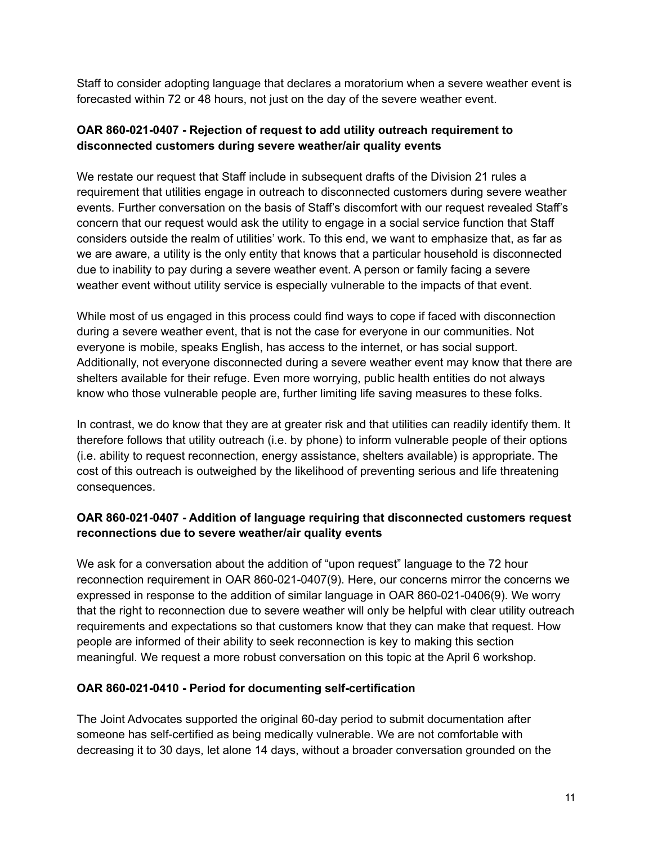Staff to consider adopting language that declares a moratorium when a severe weather event is forecasted within 72 or 48 hours, not just on the day of the severe weather event.

### **OAR 860-021-0407 - Rejection of request to add utility outreach requirement to disconnected customers during severe weather/air quality events**

We restate our request that Staff include in subsequent drafts of the Division 21 rules a requirement that utilities engage in outreach to disconnected customers during severe weather events. Further conversation on the basis of Staff's discomfort with our request revealed Staff's concern that our request would ask the utility to engage in a social service function that Staff considers outside the realm of utilities' work. To this end, we want to emphasize that, as far as we are aware, a utility is the only entity that knows that a particular household is disconnected due to inability to pay during a severe weather event. A person or family facing a severe weather event without utility service is especially vulnerable to the impacts of that event.

While most of us engaged in this process could find ways to cope if faced with disconnection during a severe weather event, that is not the case for everyone in our communities. Not everyone is mobile, speaks English, has access to the internet, or has social support. Additionally, not everyone disconnected during a severe weather event may know that there are shelters available for their refuge. Even more worrying, public health entities do not always know who those vulnerable people are, further limiting life saving measures to these folks.

In contrast, we do know that they are at greater risk and that utilities can readily identify them. It therefore follows that utility outreach (i.e. by phone) to inform vulnerable people of their options (i.e. ability to request reconnection, energy assistance, shelters available) is appropriate. The cost of this outreach is outweighed by the likelihood of preventing serious and life threatening consequences.

### **OAR 860-021-0407 - Addition of language requiring that disconnected customers request reconnections due to severe weather/air quality events**

We ask for a conversation about the addition of "upon request" language to the 72 hour reconnection requirement in OAR 860-021-0407(9). Here, our concerns mirror the concerns we expressed in response to the addition of similar language in OAR 860-021-0406(9). We worry that the right to reconnection due to severe weather will only be helpful with clear utility outreach requirements and expectations so that customers know that they can make that request. How people are informed of their ability to seek reconnection is key to making this section meaningful. We request a more robust conversation on this topic at the April 6 workshop.

### **OAR 860-021-0410 - Period for documenting self-certification**

The Joint Advocates supported the original 60-day period to submit documentation after someone has self-certified as being medically vulnerable. We are not comfortable with decreasing it to 30 days, let alone 14 days, without a broader conversation grounded on the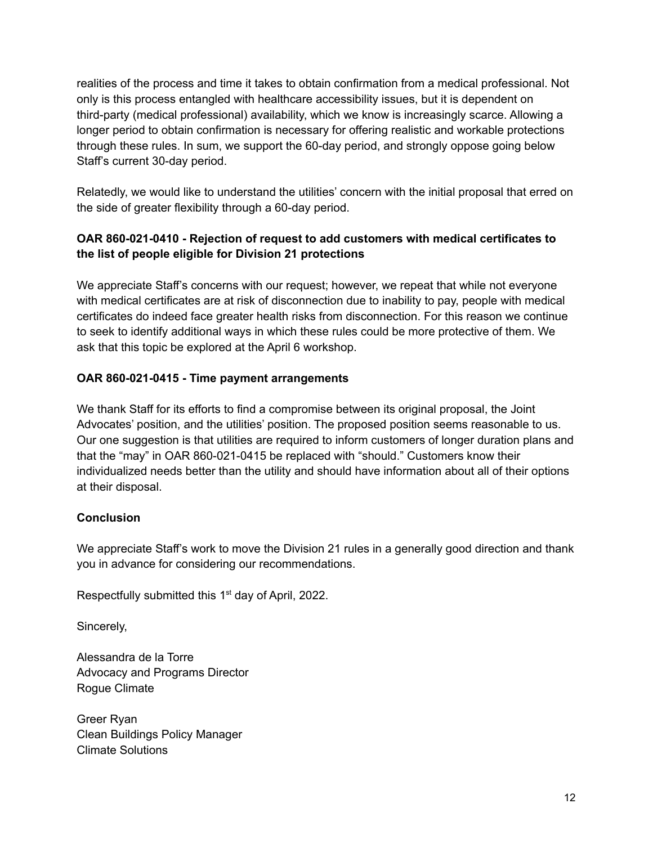realities of the process and time it takes to obtain confirmation from a medical professional. Not only is this process entangled with healthcare accessibility issues, but it is dependent on third-party (medical professional) availability, which we know is increasingly scarce. Allowing a longer period to obtain confirmation is necessary for offering realistic and workable protections through these rules. In sum, we support the 60-day period, and strongly oppose going below Staff's current 30-day period.

Relatedly, we would like to understand the utilities' concern with the initial proposal that erred on the side of greater flexibility through a 60-day period.

## **OAR 860-021-0410 - Rejection of request to add customers with medical certificates to the list of people eligible for Division 21 protections**

We appreciate Staff's concerns with our request; however, we repeat that while not everyone with medical certificates are at risk of disconnection due to inability to pay, people with medical certificates do indeed face greater health risks from disconnection. For this reason we continue to seek to identify additional ways in which these rules could be more protective of them. We ask that this topic be explored at the April 6 workshop.

## **OAR 860-021-0415 - Time payment arrangements**

We thank Staff for its efforts to find a compromise between its original proposal, the Joint Advocates' position, and the utilities' position. The proposed position seems reasonable to us. Our one suggestion is that utilities are required to inform customers of longer duration plans and that the "may" in OAR 860-021-0415 be replaced with "should." Customers know their individualized needs better than the utility and should have information about all of their options at their disposal.

### **Conclusion**

We appreciate Staff's work to move the Division 21 rules in a generally good direction and thank you in advance for considering our recommendations.

Respectfully submitted this  $1<sup>st</sup>$  day of April, 2022.

Sincerely,

Alessandra de la Torre Advocacy and Programs Director Rogue Climate

Greer Ryan Clean Buildings Policy Manager Climate Solutions